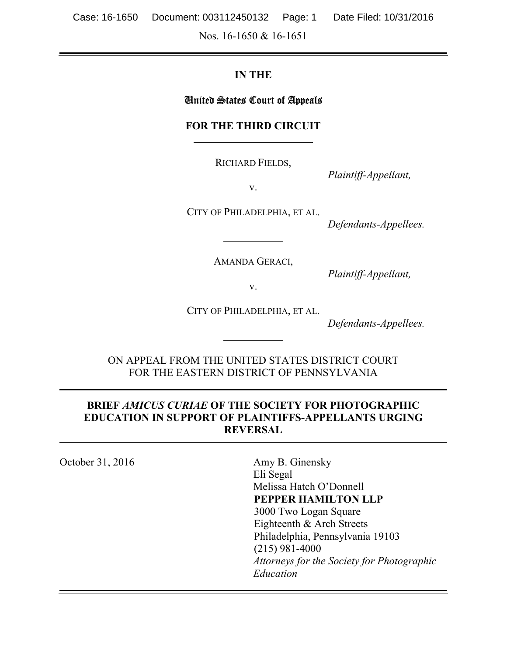Nos. 16-1650 & 16-1651

#### **IN THE**

#### United States Court of Appeals

#### **FOR THE THIRD CIRCUIT**

RICHARD FIELDS,

*Plaintiff-Appellant,*

v.

CITY OF PHILADELPHIA, ET AL.

*Defendants-Appellees.*

AMANDA GERACI,

*Plaintiff-Appellant,*

v.

CITY OF PHILADELPHIA, ET AL.

*Defendants-Appellees.*

ON APPEAL FROM THE UNITED STATES DISTRICT COURT FOR THE EASTERN DISTRICT OF PENNSYLVANIA

#### **BRIEF** *AMICUS CURIAE* **OF THE SOCIETY FOR PHOTOGRAPHIC EDUCATION IN SUPPORT OF PLAINTIFFS-APPELLANTS URGING REVERSAL**

| October 31, 2016 | Amy B. Ginensky                            |
|------------------|--------------------------------------------|
|                  | Eli Segal                                  |
|                  | Melissa Hatch O'Donnell                    |
|                  | PEPPER HAMILTON LLP                        |
|                  | 3000 Two Logan Square                      |
|                  | Eighteenth & Arch Streets                  |
|                  | Philadelphia, Pennsylvania 19103           |
|                  | $(215)$ 981-4000                           |
|                  | Attorneys for the Society for Photographic |
|                  | Education                                  |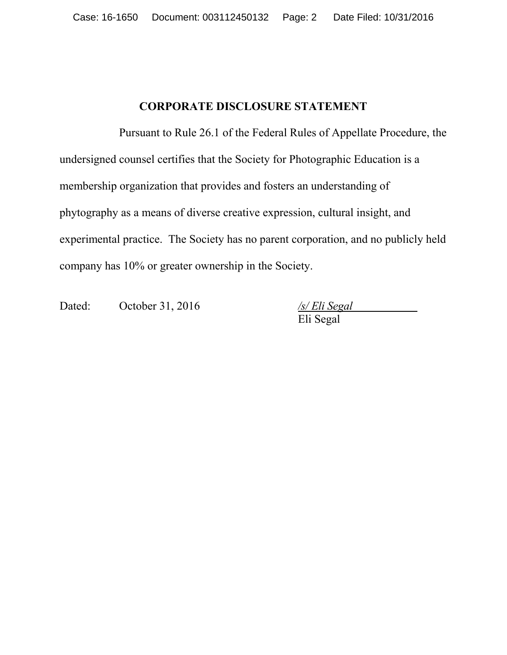### **CORPORATE DISCLOSURE STATEMENT**

Pursuant to Rule 26.1 of the Federal Rules of Appellate Procedure, the undersigned counsel certifies that the Society for Photographic Education is a membership organization that provides and fosters an understanding of phytography as a means of diverse creative expression, cultural insight, and experimental practice. The Society has no parent corporation, and no publicly held company has 10% or greater ownership in the Society.

Dated: October 31, 2016 */s/ Eli Segal*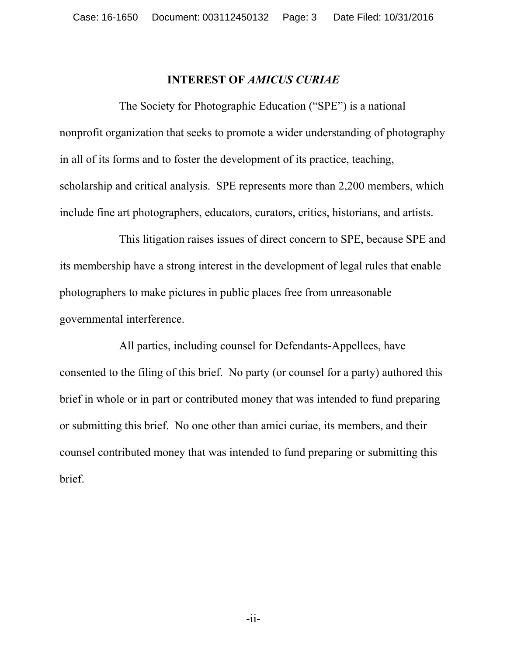#### **INTEREST OF** *AMICUS CURIAE*

The Society for Photographic Education ("SPE") is a national nonprofit organization that seeks to promote a wider understanding of photography in all of its forms and to foster the development of its practice, teaching, scholarship and critical analysis. SPE represents more than 2,200 members, which include fine art photographers, educators, curators, critics, historians, and artists.

This litigation raises issues of direct concern to SPE, because SPE and its membership have a strong interest in the development of legal rules that enable photographers to make pictures in public places free from unreasonable governmental interference.

All parties, including counsel for Defendants-Appellees, have consented to the filing of this brief. No party (or counsel for a party) authored this brief in whole or in part or contributed money that was intended to fund preparing or submitting this brief. No one other than amici curiae, its members, and their counsel contributed money that was intended to fund preparing or submitting this brief.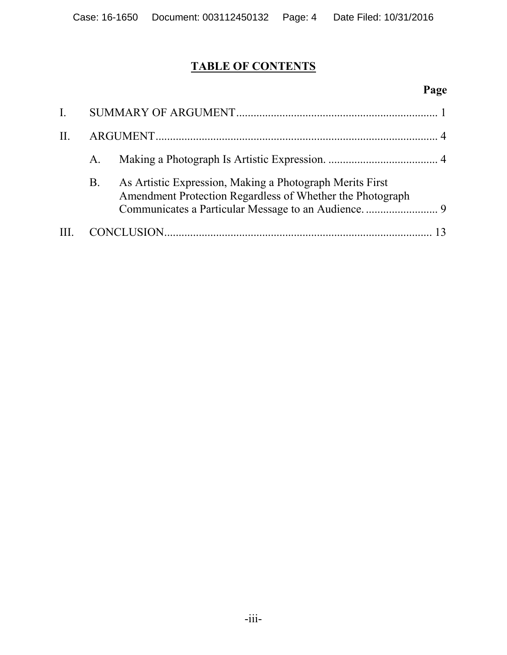# **TABLE OF CONTENTS**

# **Page**

| $\mathbf{I}$ . |    |                                                                                                                       |  |
|----------------|----|-----------------------------------------------------------------------------------------------------------------------|--|
| $\prod$ .      |    |                                                                                                                       |  |
|                | A. |                                                                                                                       |  |
|                | B. | As Artistic Expression, Making a Photograph Merits First<br>Amendment Protection Regardless of Whether the Photograph |  |
|                |    |                                                                                                                       |  |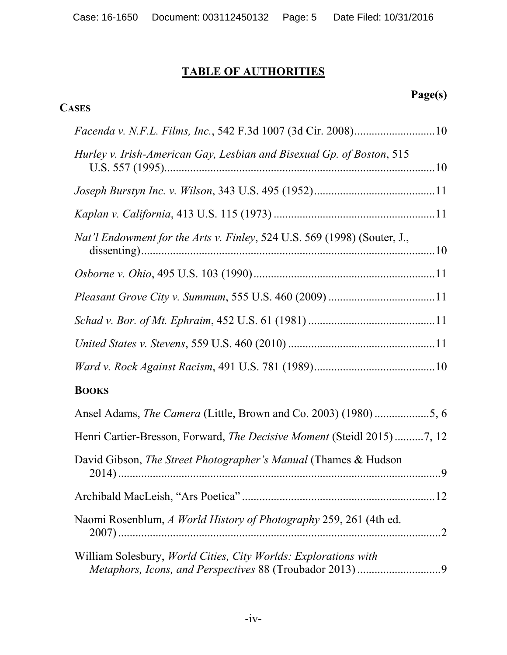# **TABLE OF AUTHORITIES**

**CASES**

## **Page(s)**

| Facenda v. N.F.L. Films, Inc., 542 F.3d 1007 (3d Cir. 2008)10            |
|--------------------------------------------------------------------------|
| Hurley v. Irish-American Gay, Lesbian and Bisexual Gp. of Boston, 515    |
|                                                                          |
|                                                                          |
| Nat'l Endowment for the Arts v. Finley, 524 U.S. 569 (1998) (Souter, J., |
|                                                                          |
|                                                                          |
|                                                                          |
|                                                                          |
|                                                                          |
| <b>BOOKS</b>                                                             |
| Ansel Adams, The Camera (Little, Brown and Co. 2003) (1980) 5, 6         |
| Henri Cartier-Bresson, Forward, The Decisive Moment (Steidl 2015) 7, 12  |
| David Gibson, The Street Photographer's Manual (Thames & Hudson          |
|                                                                          |
| Naomi Rosenblum, A World History of Photography 259, 261 (4th ed.        |
| William Solesbury, World Cities, City Worlds: Explorations with          |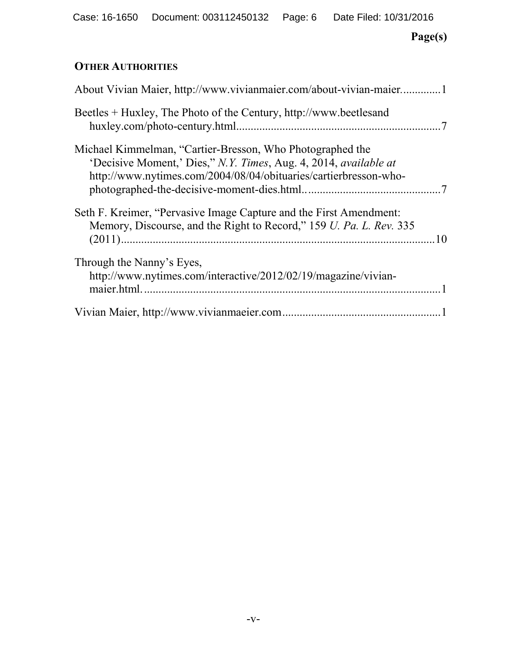## **Page(s)**

## **OTHER AUTHORITIES**

| About Vivian Maier, http://www.vivianmaier.com/about-vivian-maier1                                                                                                                                |
|---------------------------------------------------------------------------------------------------------------------------------------------------------------------------------------------------|
| Beetles $+$ Huxley, The Photo of the Century, http://www.beetlesand                                                                                                                               |
| Michael Kimmelman, "Cartier-Bresson, Who Photographed the<br>'Decisive Moment,' Dies," N.Y. Times, Aug. 4, 2014, available at<br>http://www.nytimes.com/2004/08/04/obituaries/cartierbresson-who- |
| Seth F. Kreimer, "Pervasive Image Capture and the First Amendment:<br>Memory, Discourse, and the Right to Record," 159 U. Pa. L. Rev. 335                                                         |
| Through the Nanny's Eyes,<br>http://www.nytimes.com/interactive/2012/02/19/magazine/vivian-                                                                                                       |
|                                                                                                                                                                                                   |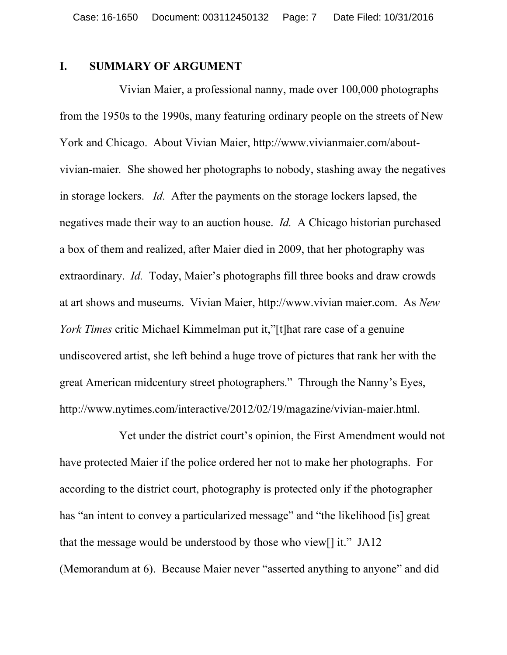#### <span id="page-6-0"></span>**I. SUMMARY OF ARGUMENT**

<span id="page-6-1"></span>Vivian Maier, a professional nanny, made over 100,000 photographs from the 1950s to the 1990s, many featuring ordinary people on the streets of New York and Chicago. About Vivian Maier, http://www.vivianmaier.com/aboutvivian-maier*.* She showed her photographs to nobody, stashing away the negatives in storage lockers. *Id.* After the payments on the storage lockers lapsed, the negatives made their way to an auction house. *Id.* A Chicago historian purchased a box of them and realized, after Maier died in 2009, that her photography was extraordinary. *Id.* Today, Maier's photographs fill three books and draw crowds at art shows and museums. Vivian Maier, http://www.vivian maier.com. As *New York Times* critic Michael Kimmelman put it,"[t]hat rare case of a genuine undiscovered artist, she left behind a huge trove of pictures that rank her with the great American midcentury street photographers." Through the Nanny's Eyes, http://www.nytimes.com/interactive/2012/02/19/magazine/vivian-maier.html.

<span id="page-6-3"></span><span id="page-6-2"></span>Yet under the district court's opinion, the First Amendment would not have protected Maier if the police ordered her not to make her photographs. For according to the district court, photography is protected only if the photographer has "an intent to convey a particularized message" and "the likelihood [is] great that the message would be understood by those who view[] it." JA12 (Memorandum at 6). Because Maier never "asserted anything to anyone" and did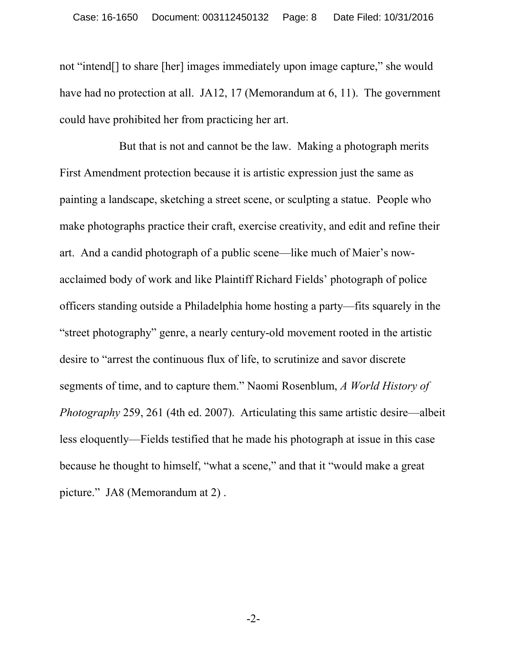not "intend[] to share [her] images immediately upon image capture," she would have had no protection at all. JA12, 17 (Memorandum at 6, 11). The government could have prohibited her from practicing her art.

<span id="page-7-0"></span>But that is not and cannot be the law. Making a photograph merits First Amendment protection because it is artistic expression just the same as painting a landscape, sketching a street scene, or sculpting a statue. People who make photographs practice their craft, exercise creativity, and edit and refine their art. And a candid photograph of a public scene—like much of Maier's nowacclaimed body of work and like Plaintiff Richard Fields' photograph of police officers standing outside a Philadelphia home hosting a party—fits squarely in the "street photography" genre, a nearly century-old movement rooted in the artistic desire to "arrest the continuous flux of life, to scrutinize and savor discrete segments of time, and to capture them." Naomi Rosenblum, *A World History of Photography* 259, 261 (4th ed. 2007). Articulating this same artistic desire—albeit less eloquently—Fields testified that he made his photograph at issue in this case because he thought to himself, "what a scene," and that it "would make a great picture." JA8 (Memorandum at 2) .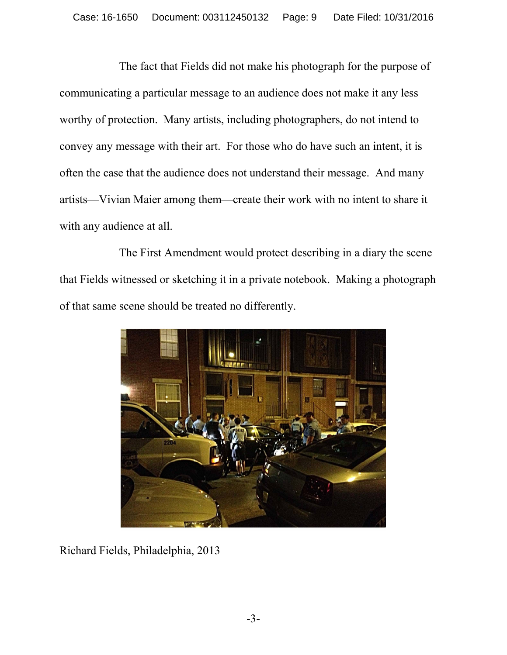The fact that Fields did not make his photograph for the purpose of communicating a particular message to an audience does not make it any less worthy of protection. Many artists, including photographers, do not intend to convey any message with their art. For those who do have such an intent, it is often the case that the audience does not understand their message. And many artists—Vivian Maier among them—create their work with no intent to share it with any audience at all.

The First Amendment would protect describing in a diary the scene that Fields witnessed or sketching it in a private notebook. Making a photograph of that same scene should be treated no differently.



Richard Fields, Philadelphia, 2013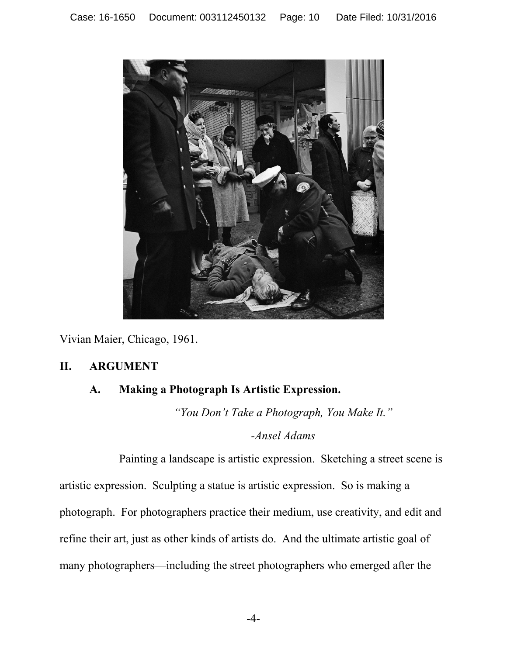

Vivian Maier, Chicago, 1961.

#### **II. ARGUMENT**

#### <span id="page-9-0"></span>**A. Making a Photograph Is Artistic Expression.**

<span id="page-9-1"></span>*"You Don't Take a Photograph, You Make It."*

*-Ansel Adams*

Painting a landscape is artistic expression. Sketching a street scene is artistic expression. Sculpting a statue is artistic expression. So is making a photograph. For photographers practice their medium, use creativity, and edit and refine their art, just as other kinds of artists do. And the ultimate artistic goal of many photographers—including the street photographers who emerged after the

-4-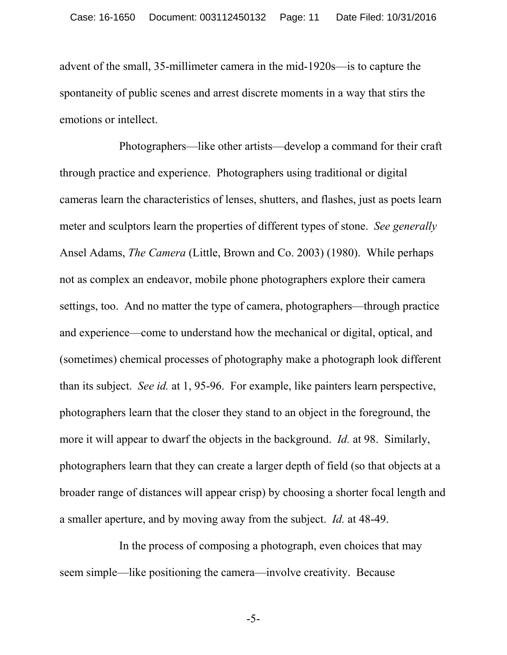advent of the small, 35-millimeter camera in the mid-1920s—is to capture the spontaneity of public scenes and arrest discrete moments in a way that stirs the emotions or intellect.

Photographers—like other artists—develop a command for their craft through practice and experience. Photographers using traditional or digital cameras learn the characteristics of lenses, shutters, and flashes, just as poets learn meter and sculptors learn the properties of different types of stone. *See generally*  Ansel Adams, *The Camera* (Little, Brown and Co. 2003) (1980). While perhaps not as complex an endeavor, mobile phone photographers explore their camera settings, too. And no matter the type of camera, photographers—through practice and experience—come to understand how the mechanical or digital, optical, and (sometimes) chemical processes of photography make a photograph look different than its subject. *See id.* at 1, 95-96. For example, like painters learn perspective, photographers learn that the closer they stand to an object in the foreground, the more it will appear to dwarf the objects in the background. *Id.* at 98. Similarly, photographers learn that they can create a larger depth of field (so that objects at a broader range of distances will appear crisp) by choosing a shorter focal length and a smaller aperture, and by moving away from the subject. *Id.* at 48-49.

In the process of composing a photograph, even choices that may seem simple—like positioning the camera—involve creativity. Because

-5-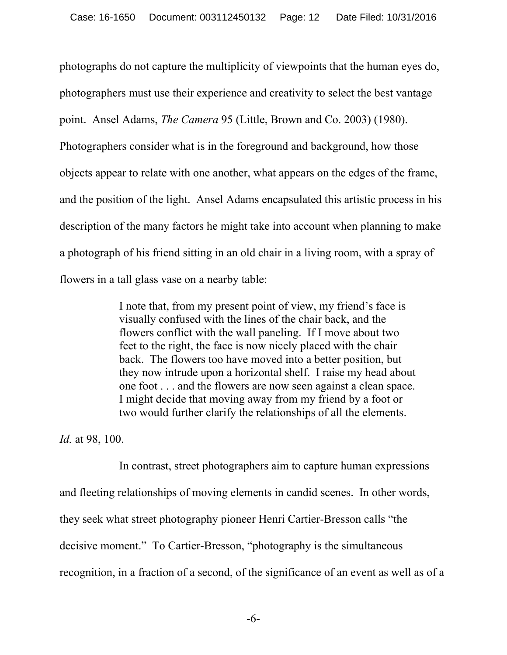<span id="page-11-0"></span>photographs do not capture the multiplicity of viewpoints that the human eyes do, photographers must use their experience and creativity to select the best vantage point. Ansel Adams, *The Camera* 95 (Little, Brown and Co. 2003) (1980). Photographers consider what is in the foreground and background, how those objects appear to relate with one another, what appears on the edges of the frame, and the position of the light. Ansel Adams encapsulated this artistic process in his description of the many factors he might take into account when planning to make a photograph of his friend sitting in an old chair in a living room, with a spray of flowers in a tall glass vase on a nearby table:

> I note that, from my present point of view, my friend's face is visually confused with the lines of the chair back, and the flowers conflict with the wall paneling. If I move about two feet to the right, the face is now nicely placed with the chair back. The flowers too have moved into a better position, but they now intrude upon a horizontal shelf. I raise my head about one foot . . . and the flowers are now seen against a clean space. I might decide that moving away from my friend by a foot or two would further clarify the relationships of all the elements.

*Id.* at 98, 100.

In contrast, street photographers aim to capture human expressions and fleeting relationships of moving elements in candid scenes. In other words, they seek what street photography pioneer Henri Cartier-Bresson calls "the decisive moment." To Cartier-Bresson, "photography is the simultaneous recognition, in a fraction of a second, of the significance of an event as well as of a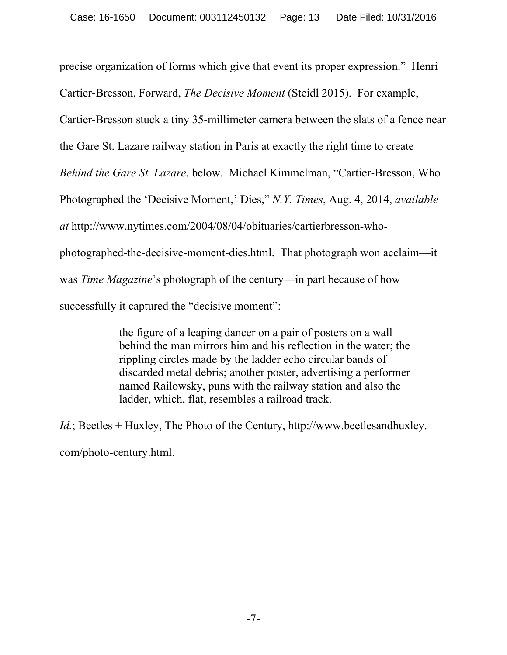<span id="page-12-0"></span>precise organization of forms which give that event its proper expression." Henri Cartier-Bresson, Forward, *The Decisive Moment* (Steidl 2015). For example, Cartier-Bresson stuck a tiny 35-millimeter camera between the slats of a fence near the Gare St. Lazare railway station in Paris at exactly the right time to create *Behind the Gare St. Lazare*, below. Michael Kimmelman, "Cartier-Bresson, Who Photographed the 'Decisive Moment,' Dies," *N.Y. Times*, Aug. 4, 2014, *available at* http://www.nytimes.com/2004/08/04/obituaries/cartierbresson-whophotographed-the-decisive-moment-dies.html. That photograph won acclaim—it was *Time Magazine*'s photograph of the century—in part because of how successfully it captured the "decisive moment":

> <span id="page-12-2"></span><span id="page-12-1"></span>the figure of a leaping dancer on a pair of posters on a wall behind the man mirrors him and his reflection in the water; the rippling circles made by the ladder echo circular bands of discarded metal debris; another poster, advertising a performer named Railowsky, puns with the railway station and also the ladder, which, flat, resembles a railroad track.

*Id.*; Beetles + Huxley, The Photo of the Century, http://www.beetlesandhuxley. com/photo-century.html.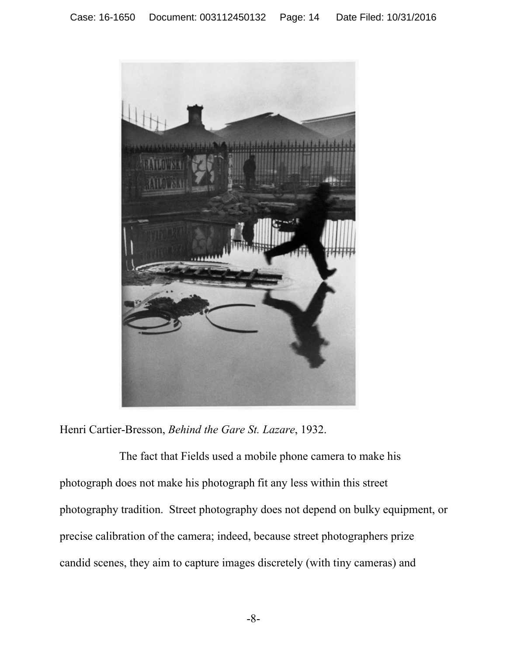

Henri Cartier-Bresson, *Behind the Gare St. Lazare*, 1932.

The fact that Fields used a mobile phone camera to make his photograph does not make his photograph fit any less within this street photography tradition. Street photography does not depend on bulky equipment, or precise calibration of the camera; indeed, because street photographers prize candid scenes, they aim to capture images discretely (with tiny cameras) and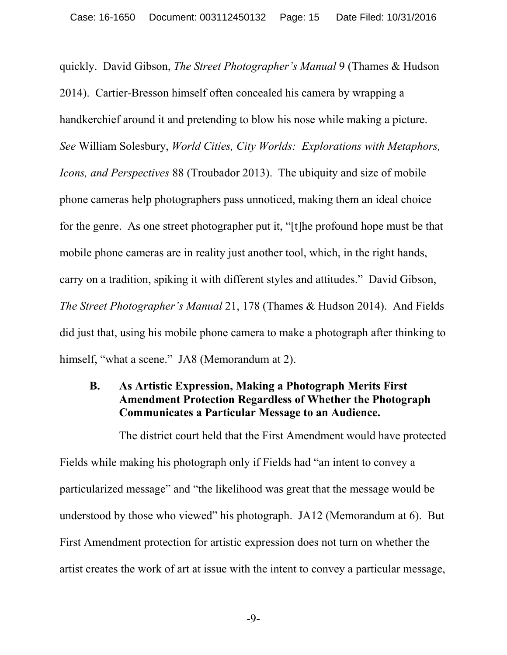<span id="page-14-2"></span><span id="page-14-1"></span>quickly. David Gibson, *The Street Photographer's Manual* 9 (Thames & Hudson 2014). Cartier-Bresson himself often concealed his camera by wrapping a handkerchief around it and pretending to blow his nose while making a picture. *See* William Solesbury, *World Cities, City Worlds: Explorations with Metaphors, Icons, and Perspectives* 88 (Troubador 2013). The ubiquity and size of mobile phone cameras help photographers pass unnoticed, making them an ideal choice for the genre. As one street photographer put it, "[t]he profound hope must be that mobile phone cameras are in reality just another tool, which, in the right hands, carry on a tradition, spiking it with different styles and attitudes." David Gibson, *The Street Photographer's Manual* 21, 178 (Thames & Hudson 2014). And Fields did just that, using his mobile phone camera to make a photograph after thinking to himself, "what a scene." JA8 (Memorandum at 2).

### <span id="page-14-0"></span>**B. As Artistic Expression, Making a Photograph Merits First Amendment Protection Regardless of Whether the Photograph Communicates a Particular Message to an Audience.**

The district court held that the First Amendment would have protected Fields while making his photograph only if Fields had "an intent to convey a particularized message" and "the likelihood was great that the message would be understood by those who viewed" his photograph. JA12 (Memorandum at 6). But First Amendment protection for artistic expression does not turn on whether the artist creates the work of art at issue with the intent to convey a particular message,

-9-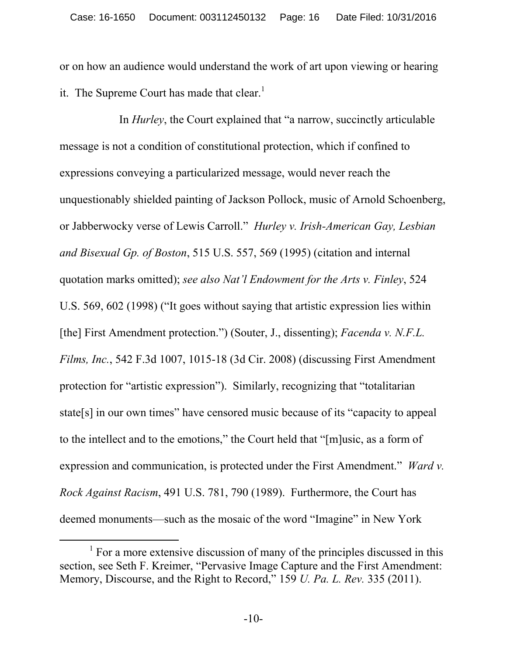or on how an audience would understand the work of art upon viewing or hearing it. The Supreme Court has made that clear.<sup>1</sup>

<span id="page-15-2"></span><span id="page-15-1"></span>In *Hurley*, the Court explained that "a narrow, succinctly articulable message is not a condition of constitutional protection, which if confined to expressions conveying a particularized message, would never reach the unquestionably shielded painting of Jackson Pollock, music of Arnold Schoenberg, or Jabberwocky verse of Lewis Carroll." *Hurley v. Irish-American Gay, Lesbian and Bisexual Gp. of Boston*, 515 U.S. 557, 569 (1995) (citation and internal quotation marks omitted); *see also Nat'l Endowment for the Arts v. Finley*, 524 U.S. 569, 602 (1998) ("It goes without saying that artistic expression lies within [the] First Amendment protection.") (Souter, J., dissenting); *Facenda v. N.F.L. Films, Inc.*, 542 F.3d 1007, 1015-18 (3d Cir. 2008) (discussing First Amendment protection for "artistic expression"). Similarly, recognizing that "totalitarian state[s] in our own times" have censored music because of its "capacity to appeal to the intellect and to the emotions," the Court held that "[m]usic, as a form of expression and communication, is protected under the First Amendment." *Ward v. Rock Against Racism*, 491 U.S. 781, 790 (1989). Furthermore, the Court has deemed monuments—such as the mosaic of the word "Imagine" in New York

<span id="page-15-3"></span><span id="page-15-0"></span>l

<span id="page-15-4"></span><sup>&</sup>lt;sup>1</sup> For a more extensive discussion of many of the principles discussed in this section, see Seth F. Kreimer, "Pervasive Image Capture and the First Amendment: Memory, Discourse, and the Right to Record," 159 *U. Pa. L. Rev.* 335 (2011).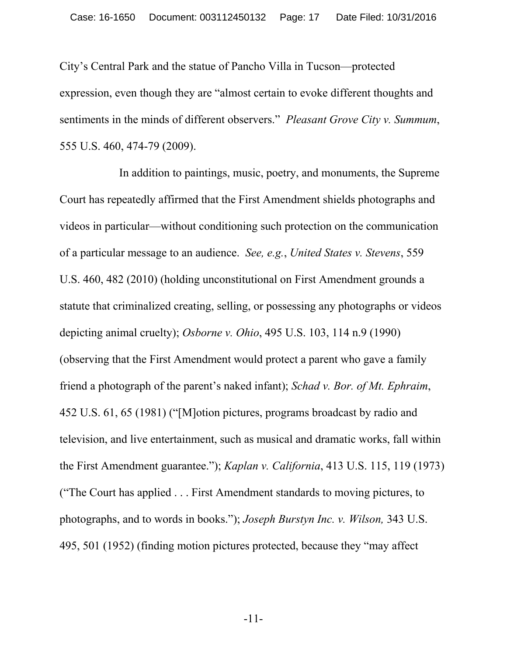<span id="page-16-3"></span>City's Central Park and the statue of Pancho Villa in Tucson—protected expression, even though they are "almost certain to evoke different thoughts and sentiments in the minds of different observers." *Pleasant Grove City v. Summum*, 555 U.S. 460, 474-79 (2009).

<span id="page-16-5"></span><span id="page-16-4"></span><span id="page-16-2"></span><span id="page-16-1"></span><span id="page-16-0"></span>In addition to paintings, music, poetry, and monuments, the Supreme Court has repeatedly affirmed that the First Amendment shields photographs and videos in particular—without conditioning such protection on the communication of a particular message to an audience. *See, e.g.*, *United States v. Stevens*, 559 U.S. 460, 482 (2010) (holding unconstitutional on First Amendment grounds a statute that criminalized creating, selling, or possessing any photographs or videos depicting animal cruelty); *Osborne v. Ohio*, 495 U.S. 103, 114 n.9 (1990) (observing that the First Amendment would protect a parent who gave a family friend a photograph of the parent's naked infant); *Schad v. Bor. of Mt. Ephraim*, 452 U.S. 61, 65 (1981) ("[M]otion pictures, programs broadcast by radio and television, and live entertainment, such as musical and dramatic works, fall within the First Amendment guarantee."); *Kaplan v. California*, 413 U.S. 115, 119 (1973) ("The Court has applied . . . First Amendment standards to moving pictures, to photographs, and to words in books."); *Joseph Burstyn Inc. v. Wilson,* 343 U.S. 495, 501 (1952) (finding motion pictures protected, because they "may affect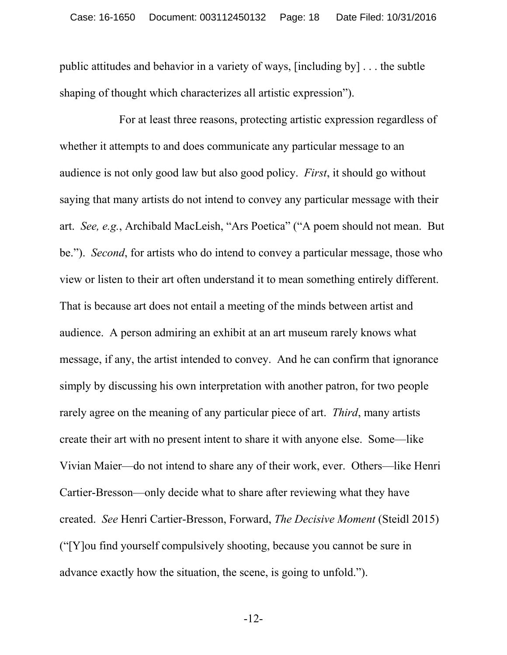public attitudes and behavior in a variety of ways, [including by] . . . the subtle shaping of thought which characterizes all artistic expression").

<span id="page-17-1"></span><span id="page-17-0"></span>For at least three reasons, protecting artistic expression regardless of whether it attempts to and does communicate any particular message to an audience is not only good law but also good policy. *First*, it should go without saying that many artists do not intend to convey any particular message with their art. *See, e.g.*, Archibald MacLeish, "Ars Poetica" ("A poem should not mean. But be."). *Second*, for artists who do intend to convey a particular message, those who view or listen to their art often understand it to mean something entirely different. That is because art does not entail a meeting of the minds between artist and audience. A person admiring an exhibit at an art museum rarely knows what message, if any, the artist intended to convey. And he can confirm that ignorance simply by discussing his own interpretation with another patron, for two people rarely agree on the meaning of any particular piece of art. *Third*, many artists create their art with no present intent to share it with anyone else. Some—like Vivian Maier—do not intend to share any of their work, ever. Others—like Henri Cartier-Bresson—only decide what to share after reviewing what they have created. *See* Henri Cartier-Bresson, Forward, *The Decisive Moment* (Steidl 2015) ("[Y]ou find yourself compulsively shooting, because you cannot be sure in advance exactly how the situation, the scene, is going to unfold.").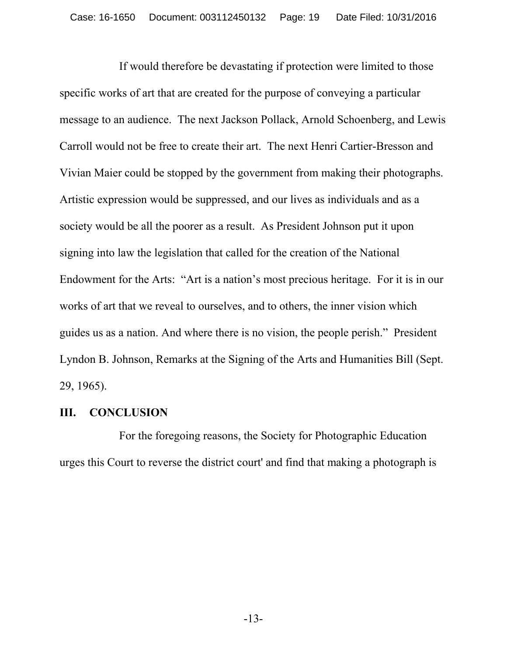If would therefore be devastating if protection were limited to those specific works of art that are created for the purpose of conveying a particular message to an audience. The next Jackson Pollack, Arnold Schoenberg, and Lewis Carroll would not be free to create their art. The next Henri Cartier-Bresson and Vivian Maier could be stopped by the government from making their photographs. Artistic expression would be suppressed, and our lives as individuals and as a society would be all the poorer as a result. As President Johnson put it upon signing into law the legislation that called for the creation of the National Endowment for the Arts: "Art is a nation's most precious heritage. For it is in our works of art that we reveal to ourselves, and to others, the inner vision which guides us as a nation. And where there is no vision, the people perish." President Lyndon B. Johnson, Remarks at the Signing of the Arts and Humanities Bill (Sept. 29, 1965).

#### <span id="page-18-0"></span>**III. CONCLUSION**

For the foregoing reasons, the Society for Photographic Education urges this Court to reverse the district court' and find that making a photograph is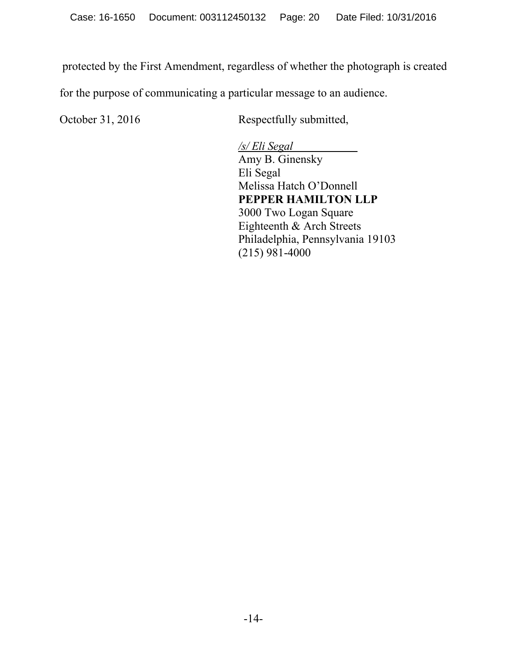protected by the First Amendment, regardless of whether the photograph is created

for the purpose of communicating a particular message to an audience.

October 31, 2016 Respectfully submitted,

*/s/ Eli Segal* Amy B. Ginensky Eli Segal Melissa Hatch O'Donnell **PEPPER HAMILTON LLP** 3000 Two Logan Square Eighteenth & Arch Streets Philadelphia, Pennsylvania 19103 (215) 981-4000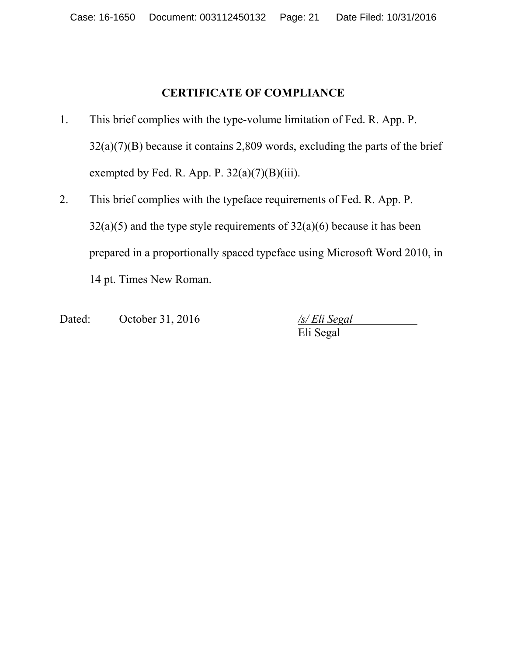## **CERTIFICATE OF COMPLIANCE**

- 1. This brief complies with the type-volume limitation of Fed. R. App. P.  $32(a)(7)(B)$  because it contains 2,809 words, excluding the parts of the brief exempted by Fed. R. App. P.  $32(a)(7)(B)(iii)$ .
- 2. This brief complies with the typeface requirements of Fed. R. App. P.  $32(a)(5)$  and the type style requirements of  $32(a)(6)$  because it has been prepared in a proportionally spaced typeface using Microsoft Word 2010, in 14 pt. Times New Roman.
- Dated: October 31, 2016 */s/ Eli Segal*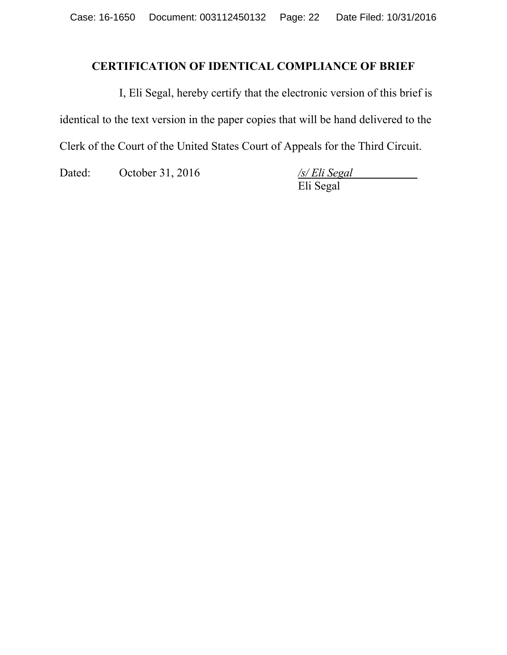### **CERTIFICATION OF IDENTICAL COMPLIANCE OF BRIEF**

I, Eli Segal, hereby certify that the electronic version of this brief is identical to the text version in the paper copies that will be hand delivered to the Clerk of the Court of the United States Court of Appeals for the Third Circuit.

Dated: October 31, 2016 */s/ Eli Segal*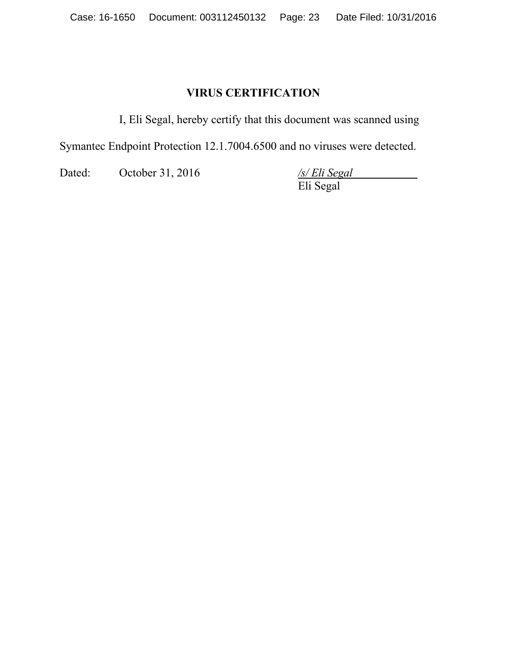### **VIRUS CERTIFICATION**

I, Eli Segal, hereby certify that this document was scanned using

Symantec Endpoint Protection 12.1.7004.6500 and no viruses were detected.

Dated: October 31, 2016 */s/ Eli Segal*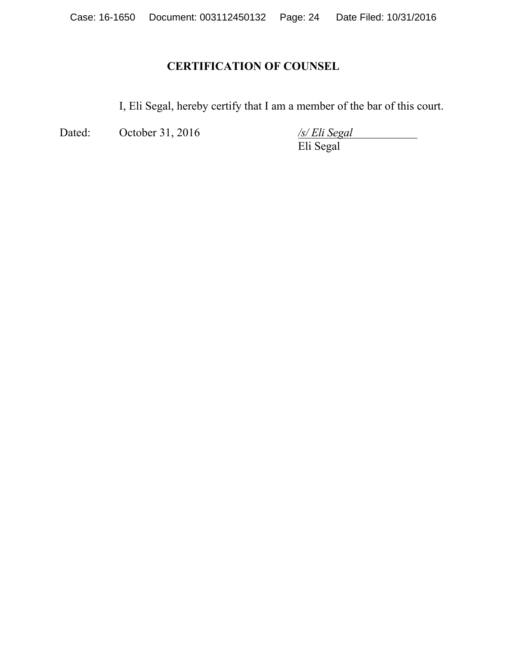# **CERTIFICATION OF COUNSEL**

I, Eli Segal, hereby certify that I am a member of the bar of this court.

Dated: October 31, 2016 */s/ Eli Segal*